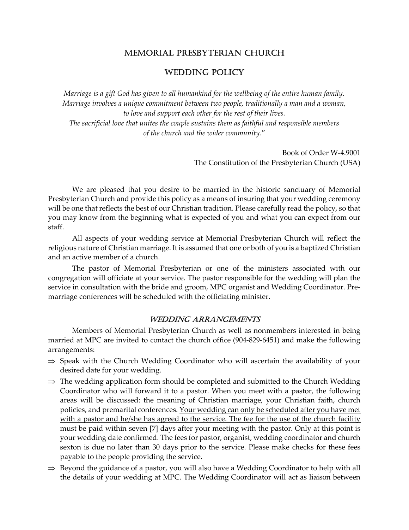# MEMORIAL PRESBYTERIAN CHURCH

# WEDDING POLICY

Marriage is a gift God has given to all humankind for the wellbeing of the entire human family. Marriage involves a unique commitment between two people, traditionally a man and a woman, to love and support each other for the rest of their lives. The sacrificial love that unites the couple sustains them as faithful and responsible members of the church and the wider community."

> Book of Order W-4.9001 The Constitution of the Presbyterian Church (USA)

 We are pleased that you desire to be married in the historic sanctuary of Memorial Presbyterian Church and provide this policy as a means of insuring that your wedding ceremony will be one that reflects the best of our Christian tradition. Please carefully read the policy, so that you may know from the beginning what is expected of you and what you can expect from our staff.

 All aspects of your wedding service at Memorial Presbyterian Church will reflect the religious nature of Christian marriage. It is assumed that one or both of you is a baptized Christian and an active member of a church.

 The pastor of Memorial Presbyterian or one of the ministers associated with our congregation will officiate at your service. The pastor responsible for the wedding will plan the service in consultation with the bride and groom, MPC organist and Wedding Coordinator. Premarriage conferences will be scheduled with the officiating minister.

### WEDDING ARRANGEMENTS

 Members of Memorial Presbyterian Church as well as nonmembers interested in being married at MPC are invited to contact the church office (904-829-6451) and make the following arrangements:

- $\Rightarrow$  Speak with the Church Wedding Coordinator who will ascertain the availability of your desired date for your wedding.
- $\Rightarrow$  The wedding application form should be completed and submitted to the Church Wedding Coordinator who will forward it to a pastor. When you meet with a pastor, the following areas will be discussed: the meaning of Christian marriage, your Christian faith, church policies, and premarital conferences. Your wedding can only be scheduled after you have met with a pastor and he/she has agreed to the service. The fee for the use of the church facility must be paid within seven [7] days after your meeting with the pastor. Only at this point is your wedding date confirmed. The fees for pastor, organist, wedding coordinator and church sexton is due no later than 30 days prior to the service. Please make checks for these fees payable to the people providing the service.
- $\Rightarrow$  Beyond the guidance of a pastor, you will also have a Wedding Coordinator to help with all the details of your wedding at MPC. The Wedding Coordinator will act as liaison between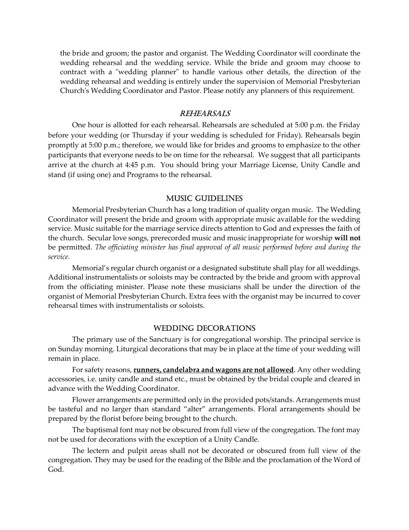the bride and groom; the pastor and organist. The Wedding Coordinator will coordinate the wedding rehearsal and the wedding service. While the bride and groom may choose to contract with a "wedding planner" to handle various other details, the direction of the wedding rehearsal and wedding is entirely under the supervision of Memorial Presbyterian Church's Wedding Coordinator and Pastor. Please notify any planners of this requirement.

#### REHEARSALS

 One hour is allotted for each rehearsal. Rehearsals are scheduled at 5:00 p.m. the Friday before your wedding (or Thursday if your wedding is scheduled for Friday). Rehearsals begin promptly at 5:00 p.m.; therefore, we would like for brides and grooms to emphasize to the other participants that everyone needs to be on time for the rehearsal. We suggest that all participants arrive at the church at 4:45 p.m. You should bring your Marriage License, Unity Candle and stand (if using one) and Programs to the rehearsal.

#### MUSIC GUIDELINES

Memorial Presbyterian Church has a long tradition of quality organ music. The Wedding Coordinator will present the bride and groom with appropriate music available for the wedding service. Music suitable for the marriage service directs attention to God and expresses the faith of the church. Secular love songs, prerecorded music and music inappropriate for worship will not be permitted. The officiating minister has final approval of all music performed before and during the service.

 Memorial's regular church organist or a designated substitute shall play for all weddings. Additional instrumentalists or soloists may be contracted by the bride and groom with approval from the officiating minister. Please note these musicians shall be under the direction of the organist of Memorial Presbyterian Church. Extra fees with the organist may be incurred to cover rehearsal times with instrumentalists or soloists.

#### WEDDING DECORATIONS

The primary use of the Sanctuary is for congregational worship. The principal service is on Sunday morning. Liturgical decorations that may be in place at the time of your wedding will remain in place.

 For safety reasons, runners, candelabra and wagons are not allowed. Any other wedding accessories, i.e. unity candle and stand etc., must be obtained by the bridal couple and cleared in advance with the Wedding Coordinator.

Flower arrangements are permitted only in the provided pots/stands. Arrangements must be tasteful and no larger than standard "alter" arrangements. Floral arrangements should be prepared by the florist before being brought to the church.

 The baptismal font may not be obscured from full view of the congregation. The font may not be used for decorations with the exception of a Unity Candle.

 The lectern and pulpit areas shall not be decorated or obscured from full view of the congregation. They may be used for the reading of the Bible and the proclamation of the Word of God.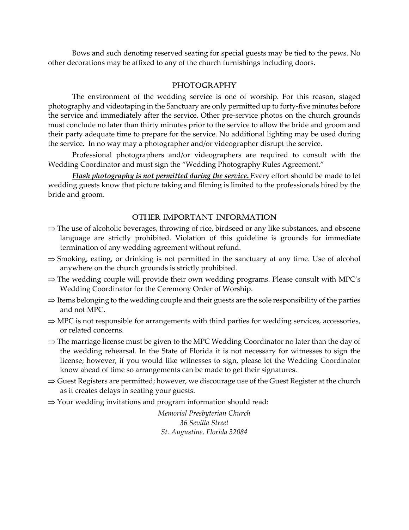Bows and such denoting reserved seating for special guests may be tied to the pews. No other decorations may be affixed to any of the church furnishings including doors.

### PHOTOGRAPHY

The environment of the wedding service is one of worship. For this reason, staged photography and videotaping in the Sanctuary are only permitted up to forty-five minutes before the service and immediately after the service. Other pre-service photos on the church grounds must conclude no later than thirty minutes prior to the service to allow the bride and groom and their party adequate time to prepare for the service. No additional lighting may be used during the service. In no way may a photographer and/or videographer disrupt the service.

 Professional photographers and/or videographers are required to consult with the Wedding Coordinator and must sign the "Wedding Photography Rules Agreement."

Flash photography is not permitted during the service. Every effort should be made to let wedding guests know that picture taking and filming is limited to the professionals hired by the bride and groom.

## OTHER IMPORTANT INFORMATION

- $\Rightarrow$  The use of alcoholic beverages, throwing of rice, birdseed or any like substances, and obscene language are strictly prohibited. Violation of this guideline is grounds for immediate termination of any wedding agreement without refund.
- $\Rightarrow$  Smoking, eating, or drinking is not permitted in the sanctuary at any time. Use of alcohol anywhere on the church grounds is strictly prohibited.
- $\Rightarrow$  The wedding couple will provide their own wedding programs. Please consult with MPC's Wedding Coordinator for the Ceremony Order of Worship.
- $\Rightarrow$  Items belonging to the wedding couple and their guests are the sole responsibility of the parties and not MPC.
- $\Rightarrow$  MPC is not responsible for arrangements with third parties for wedding services, accessories, or related concerns.
- $\Rightarrow$  The marriage license must be given to the MPC Wedding Coordinator no later than the day of the wedding rehearsal. In the State of Florida it is not necessary for witnesses to sign the license; however, if you would like witnesses to sign, please let the Wedding Coordinator know ahead of time so arrangements can be made to get their signatures.
- $\Rightarrow$  Guest Registers are permitted; however, we discourage use of the Guest Register at the church as it creates delays in seating your guests.
- $\Rightarrow$  Your wedding invitations and program information should read:

Memorial Presbyterian Church 36 Sevilla Street St. Augustine, Florida 32084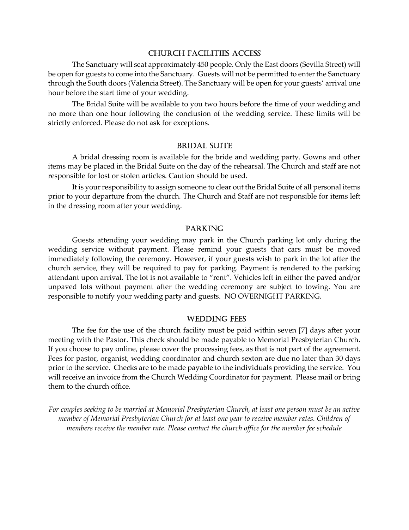#### CHURCH FACILITIES ACCESS

 The Sanctuary will seat approximately 450 people. Only the East doors (Sevilla Street) will be open for guests to come into the Sanctuary. Guests will not be permitted to enter the Sanctuary through the South doors (Valencia Street). The Sanctuary will be open for your guests' arrival one hour before the start time of your wedding.

 The Bridal Suite will be available to you two hours before the time of your wedding and no more than one hour following the conclusion of the wedding service. These limits will be strictly enforced. Please do not ask for exceptions.

#### BRIDAL SUITE

A bridal dressing room is available for the bride and wedding party. Gowns and other items may be placed in the Bridal Suite on the day of the rehearsal. The Church and staff are not responsible for lost or stolen articles. Caution should be used.

 It is your responsibility to assign someone to clear out the Bridal Suite of all personal items prior to your departure from the church. The Church and Staff are not responsible for items left in the dressing room after your wedding.

#### PARKING

 Guests attending your wedding may park in the Church parking lot only during the wedding service without payment. Please remind your guests that cars must be moved immediately following the ceremony. However, if your guests wish to park in the lot after the church service, they will be required to pay for parking. Payment is rendered to the parking attendant upon arrival. The lot is not available to "rent". Vehicles left in either the paved and/or unpaved lots without payment after the wedding ceremony are subject to towing. You are responsible to notify your wedding party and guests. NO OVERNIGHT PARKING.

#### WEDDING FEES

The fee for the use of the church facility must be paid within seven [7] days after your meeting with the Pastor. This check should be made payable to Memorial Presbyterian Church. If you choose to pay online, please cover the processing fees, as that is not part of the agreement. Fees for pastor, organist, wedding coordinator and church sexton are due no later than 30 days prior to the service. Checks are to be made payable to the individuals providing the service. You will receive an invoice from the Church Wedding Coordinator for payment. Please mail or bring them to the church office.

For couples seeking to be married at Memorial Presbyterian Church, at least one person must be an active member of Memorial Presbyterian Church for at least one year to receive member rates. Children of members receive the member rate. Please contact the church office for the member fee schedule